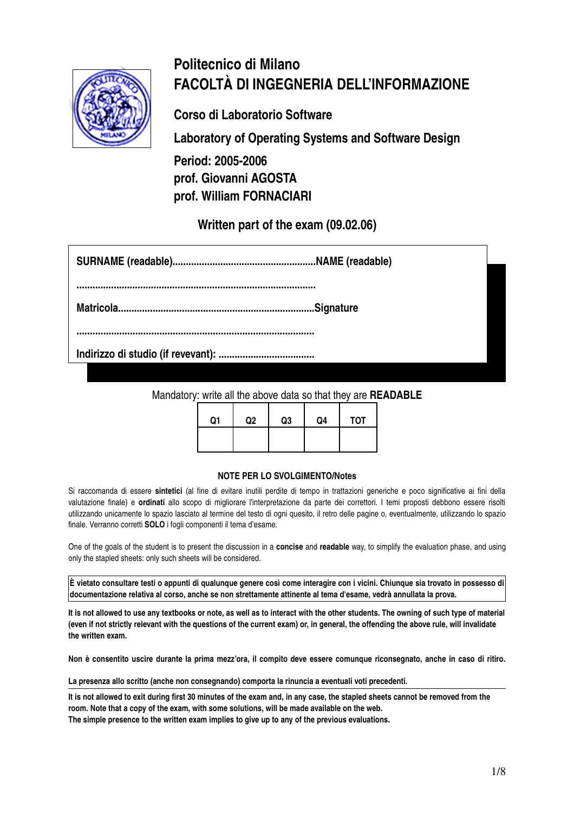

# **Politecnico di Milano FACOLTÀ DI INGEGNERIA DELL'INFORMAZIONE**

**Corso di Laboratorio Software**

**Laboratory of Operating Systems and Software Design**

**Period: 2005-2006 prof. Giovanni AGOSTA prof. William FORNACIARI**

**Written part of the exam (09.02.06)**

**..........................................................................................**

**Matricola..........................................................................Signature**

**.........................................................................................**

**Indirizzo di studio (if revevant): ....................................**

Mandatory: write all the above data so that they are **READABLE**

| Q <sub>1</sub> | Q <sub>2</sub> | Q3 | Q4 | <b>TOT</b> |
|----------------|----------------|----|----|------------|
|                |                |    |    |            |

#### **NOTE PER LO SVOLGIMENTO/Notes**

Si raccomanda di essere **sintetici** (al fine di evitare inutili perdite di tempo in trattazioni generiche e poco significative ai fini della valutazione finale) e **ordinati** allo scopo di migliorare l'interpretazione da parte dei correttori. I temi proposti debbono essere risolti utilizzando unicamente lo spazio lasciato al termine del testo di ogni quesito, il retro delle pagine o, eventualmente, utilizzando lo spazio finale. Verranno corretti **SOLO** i fogli componenti il tema d'esame.

One of the goals of the student is to present the discussion in a **concise** and **readable** way, to simplify the evaluation phase, and using only the stapled sheets: only such sheets will be considered.

 $|\tilde{E}|$  vietato consultare testi o appunti di qualunque genere così come interagire con i vicini. Chiunque sia trovato in possesso di **documentazione relativa al corso, anche se non strettamente attinente al tema d'esame, vedrà annullata la prova.**

It is not allowed to use any textbooks or note, as well as to interact with the other students. The owning of such type of material (even if not strictly relevant with the questions of the current exam) or, in general, the offending the above rule, will invalidate **the written exam.**

Non è consentito uscire durante la prima mezz'ora, il compito deve essere comunque riconsegnato, anche in caso di ritiro.

**La presenza allo scritto (anche non consegnando) comporta la rinuncia a eventuali voti precedenti.**

**It is not allowed to exit during first 30 minutes of the exam and, in any case, the stapled sheets cannot be removed from the room. Note that a copy of the exam, with some solutions, will be made available on the web.**

**The simple presence to the written exam implies to give up to any of the previous evaluations.**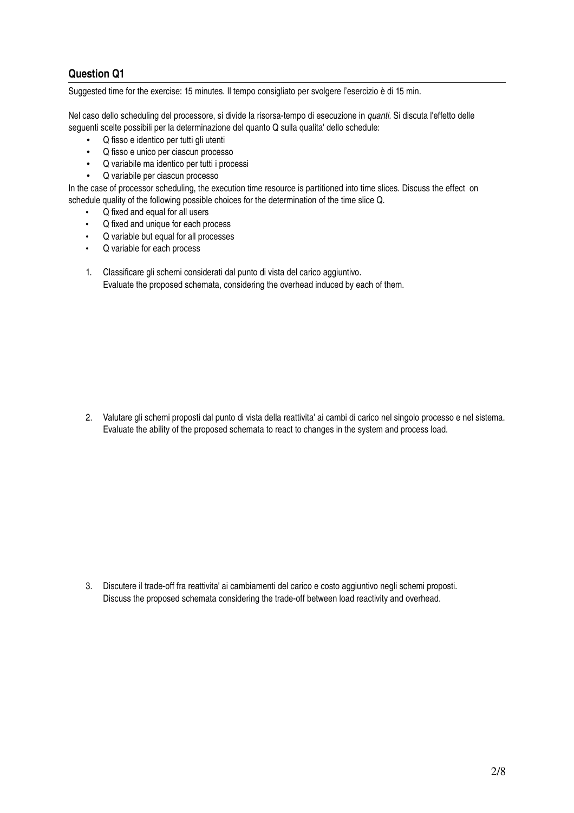#### **Question Q1**

Suggested time for the exercise: 15 minutes. Il tempo consigliato per svolgere l'esercizio è di 15 min.

Nel caso dello scheduling del processore, si divide la risorsa-tempo di esecuzione in *quanti*. Si discuta l'effetto delle seguenti scelte possibili per la determinazione del quanto Q sulla qualita' dello schedule:

- Q fisso e identico per tutti gli utenti
- Q fisso e unico per ciascun processo
- Q variabile ma identico per tutti i processi
- Q variabile per ciascun processo

In the case of processor scheduling, the execution time resource is partitioned into time slices. Discuss the effect on schedule quality of the following possible choices for the determination of the time slice Q.

- Q fixed and equal for all users
- Q fixed and unique for each process
- Q variable but equal for all processes
- Q variable for each process
- 1. Classificare gli schemi considerati dal punto di vista del carico aggiuntivo. Evaluate the proposed schemata, considering the overhead induced by each of them.

2. Valutare gli schemi proposti dal punto di vista della reattivita' ai cambi di carico nel singolo processo e nel sistema. Evaluate the ability of the proposed schemata to react to changes in the system and process load.

3. Discutere il tradeoff fra reattivita' ai cambiamenti del carico e costo aggiuntivo negli schemi proposti. Discuss the proposed schemata considering the trade-off between load reactivity and overhead.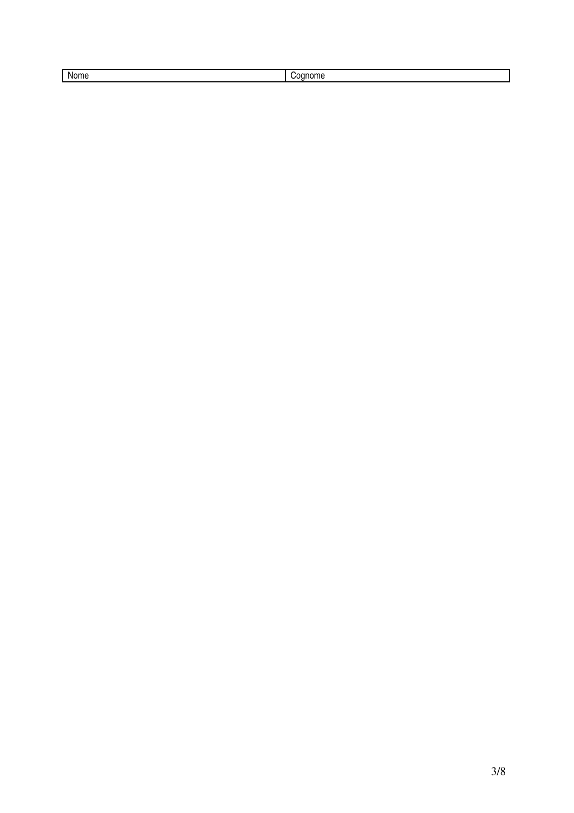| Nome | ---<br>Ш |
|------|----------|
|      |          |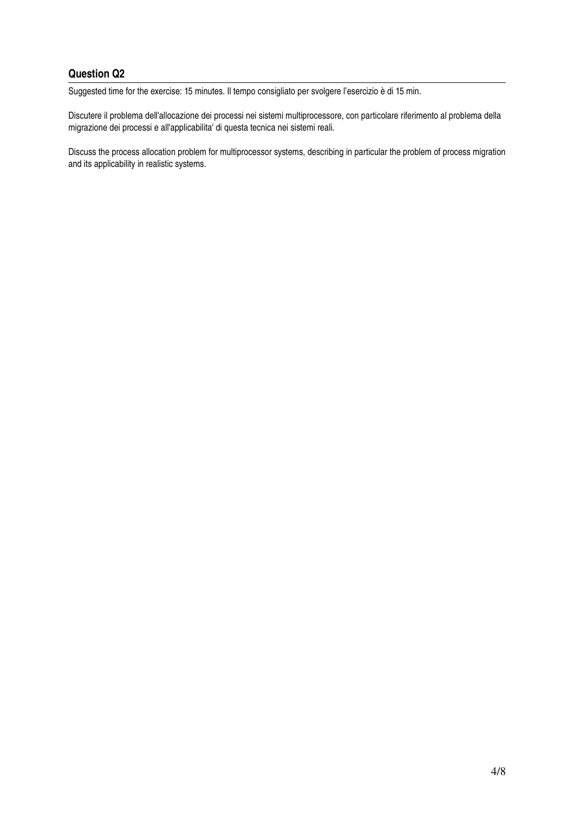# **Question Q2**

Suggested time for the exercise: 15 minutes. Il tempo consigliato per svolgere l'esercizio è di 15 min.

Discutere il problema dell'allocazione dei processi nei sistemi multiprocessore, con particolare riferimento al problema della migrazione dei processi e all'applicabilita' di questa tecnica nei sistemi reali.

Discuss the process allocation problem for multiprocessor systems, describing in particular the problem of process migration and its applicability in realistic systems.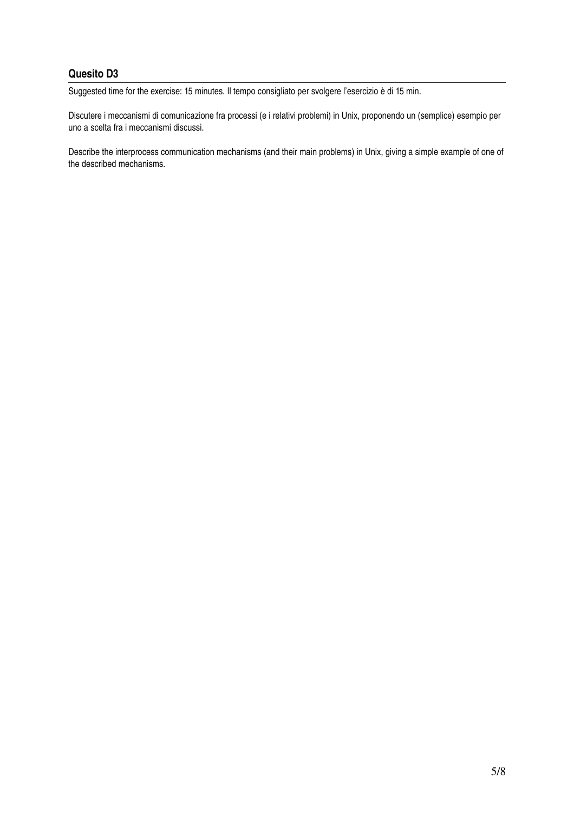# **Quesito D3**

Suggested time for the exercise: 15 minutes. Il tempo consigliato per svolgere l'esercizio è di 15 min.

Discutere i meccanismi di comunicazione fra processi (e i relativi problemi) in Unix, proponendo un (semplice) esempio per uno a scelta fra i meccanismi discussi.

Describe the interprocess communication mechanisms (and their main problems) in Unix, giving a simple example of one of the described mechanisms.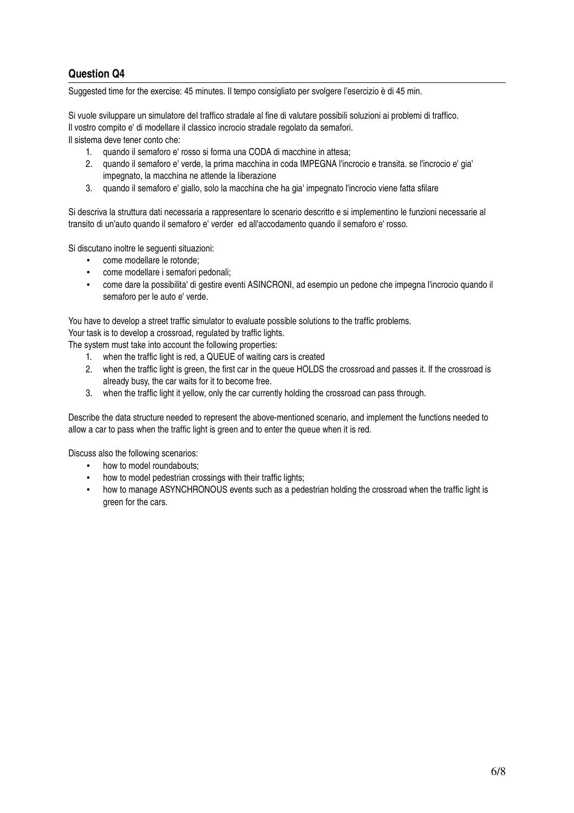### **Question Q4**

Suggested time for the exercise: 45 minutes. Il tempo consigliato per svolgere l'esercizio è di 45 min.

Si vuole sviluppare un simulatore del traffico stradale al fine di valutare possibili soluzioni ai problemi di traffico. Il vostro compito e' di modellare il classico incrocio stradale regolato da semafori.

Il sistema deve tener conto che:

- 1. quando il semaforo e' rosso si forma una CODA di macchine in attesa;
- 2. quando il semaforo e' verde, la prima macchina in coda IMPEGNA l'incrocio e transita. se l'incrocio e' gia' impegnato, la macchina ne attende la liberazione
- 3. quando il semaforo e' giallo, solo la macchina che ha gia' impegnato l'incrocio viene fatta sfilare

Si descriva la struttura dati necessaria a rappresentare lo scenario descritto e si implementino le funzioni necessarie al transito di un'auto quando il semaforo e' verder ed all'accodamento quando il semaforo e' rosso.

Si discutano inoltre le seguenti situazioni:

- come modellare le rotonde;
- come modellare i semafori pedonali;
- come dare la possibilita' di gestire eventi ASINCRONI, ad esempio un pedone che impegna l'incrocio quando il semaforo per le auto e' verde.

You have to develop a street traffic simulator to evaluate possible solutions to the traffic problems. Your task is to develop a crossroad, regulated by traffic lights.

The system must take into account the following properties:

- 1. when the traffic light is red, a QUEUE of waiting cars is created
- 2. when the traffic light is green, the first car in the queue HOLDS the crossroad and passes it. If the crossroad is already busy, the car waits for it to become free.
- 3. when the traffic light it yellow, only the car currently holding the crossroad can pass through.

Describe the data structure needed to represent the above-mentioned scenario, and implement the functions needed to allow a car to pass when the traffic light is green and to enter the queue when it is red.

Discuss also the following scenarios:

- how to model roundabouts;
- how to model pedestrian crossings with their traffic lights:
- how to manage ASYNCHRONOUS events such as a pedestrian holding the crossroad when the traffic light is green for the cars.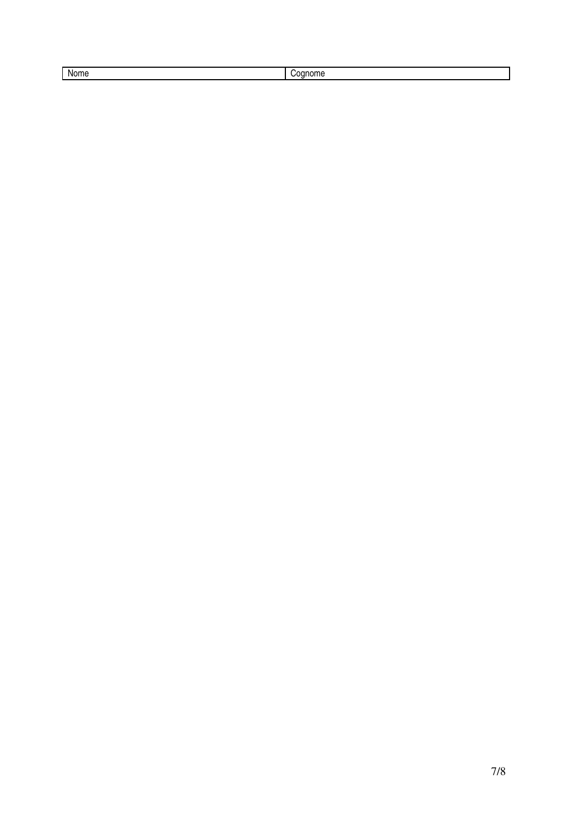| к   |  |  |
|-----|--|--|
| ___ |  |  |